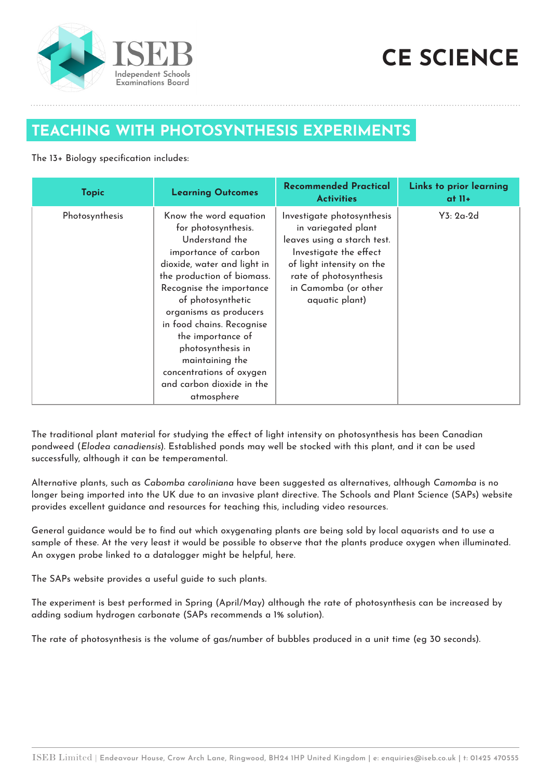

## **CE SCIENCE**

## **TEACHING WITH PHOTOSYNTHESIS EXPERIMENTS**

## The 13+ Biology specification includes:

| <b>Topic</b>   | <b>Learning Outcomes</b>                                                                                                                                                                                                                                                                                                                                                                         | <b>Recommended Practical</b><br><b>Activities</b>                                                                                                                                                           | Links to prior learning<br>at II+ |
|----------------|--------------------------------------------------------------------------------------------------------------------------------------------------------------------------------------------------------------------------------------------------------------------------------------------------------------------------------------------------------------------------------------------------|-------------------------------------------------------------------------------------------------------------------------------------------------------------------------------------------------------------|-----------------------------------|
| Photosynthesis | Know the word equation<br>for photosynthesis.<br>Understand the<br>importance of carbon<br>dioxide, water and light in<br>the production of biomass.<br>Recognise the importance<br>of photosynthetic<br>organisms as producers<br>in food chains. Recognise<br>the importance of<br>photosynthesis in<br>maintaining the<br>concentrations of oxygen<br>and carbon dioxide in the<br>atmosphere | Investigate photosynthesis<br>in variegated plant<br>leaves using a starch test.<br>Investigate the effect<br>of light intensity on the<br>rate of photosynthesis<br>in Camomba (or other<br>aquatic plant) | Y3: 2a-2d                         |

The traditional plant material for studying the effect of light intensity on photosynthesis has been Canadian pondweed (Elodea canadiensis). Established ponds may well be stocked with this plant, and it can be used successfully, although it can be temperamental.

Alternative plants, such as Cabomba caroliniana have been suggested as alternatives, although Camomba is no longer being imported into the UK due to an invasive plant directive. The Schools and Plant Science (SAPs) website provides excellent guidance and resources for teaching this, including video resources.

General guidance would be to find out which oxygenating plants are being sold by local aquarists and to use a sample of these. At the very least it would be possible to observe that the plants produce oxygen when illuminated. An oxygen probe linked to a datalogger might be helpful, here.

The SAPs website provides a useful guide to such plants.

The experiment is best performed in Spring (April/May) although the rate of photosynthesis can be increased by adding sodium hydrogen carbonate (SAPs recommends a 1% solution).

The rate of photosynthesis is the volume of gas/number of bubbles produced in a unit time (eg 30 seconds).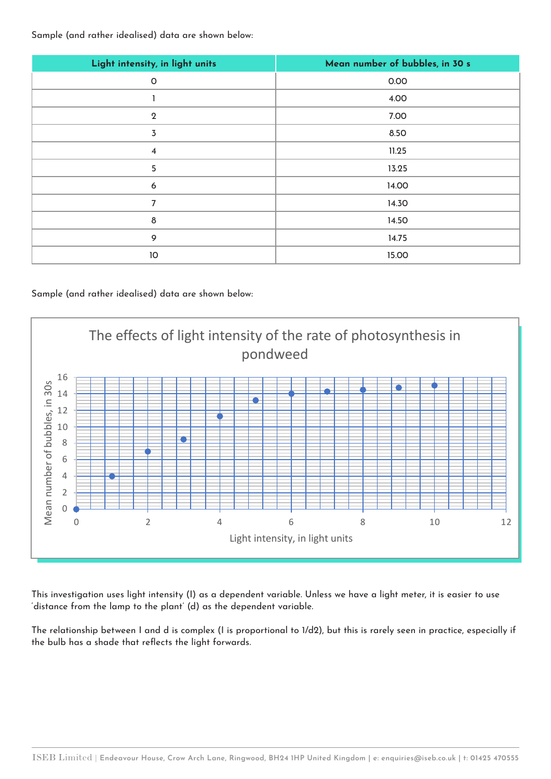Sample (and rather idealised) data are shown below:

| Light intensity, in light units | Mean number of bubbles, in 30 s |  |
|---------------------------------|---------------------------------|--|
| $\circ$                         | 0.00                            |  |
|                                 | 4.00                            |  |
| $\overline{2}$                  | 7.00                            |  |
| $\overline{3}$                  | 8.50                            |  |
| $\overline{\mathbf{4}}$         | 11.25                           |  |
| 5                               | 13.25                           |  |
| 6                               | 14.00                           |  |
| 7                               | 14.30                           |  |
| $\delta$                        | 14.50                           |  |
| 9                               | 14.75                           |  |
| 10                              | 15.00                           |  |

## Sample (and rather idealised) data are shown below:



This investigation uses light intensity (I) as a dependent variable. Unless we have a light meter, it is easier to use 'distance from the lamp to the plant' (d) as the dependent variable.

The relationship between I and d is complex (I is proportional to 1/d2), but this is rarely seen in practice, especially if the bulb has a shade that reflects the light forwards.